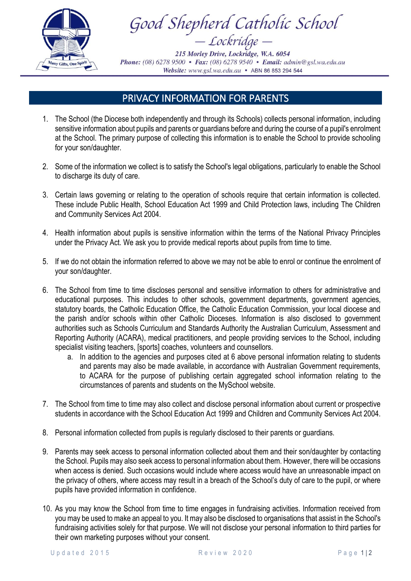

Good Shepherd Catholic School - Lockridge –

215 Morley Drive, Lockridge, W.A. 6054 Phone: (08) 6278 9500 • Fax: (08) 6278 9540 • Email: admin@gsl.wa.edu.au Website: www.gsl.wa.edu.au • ABN 86 853 294 544

## PRIVACY INFORMATION FOR PARENTS

- 1. The School (the Diocese both independently and through its Schools) collects personal information, including sensitive information about pupils and parents or guardians before and during the course of a pupil's enrolment at the School. The primary purpose of collecting this information is to enable the School to provide schooling for your son/daughter.
- 2. Some of the information we collect is to satisfy the School's legal obligations, particularly to enable the School to discharge its duty of care.
- 3. Certain laws governing or relating to the operation of schools require that certain information is collected. These include Public Health, School Education Act 1999 and Child Protection laws, including The Children and Community Services Act 2004.
- 4. Health information about pupils is sensitive information within the terms of the National Privacy Principles under the Privacy Act. We ask you to provide medical reports about pupils from time to time.
- 5. If we do not obtain the information referred to above we may not be able to enrol or continue the enrolment of your son/daughter.
- 6. The School from time to time discloses personal and sensitive information to others for administrative and educational purposes. This includes to other schools, government departments, government agencies, statutory boards, the Catholic Education Office, the Catholic Education Commission, your local diocese and the parish and/or schools within other Catholic Dioceses. Information is also disclosed to government authorities such as Schools Curriculum and Standards Authority the Australian Curriculum, Assessment and Reporting Authority (ACARA), medical practitioners, and people providing services to the School, including specialist visiting teachers, [sports] coaches, volunteers and counsellors.
	- a. In addition to the agencies and purposes cited at 6 above personal information relating to students and parents may also be made available, in accordance with Australian Government requirements, to ACARA for the purpose of publishing certain aggregated school information relating to the circumstances of parents and students on the MySchool website.
- 7. The School from time to time may also collect and disclose personal information about current or prospective students in accordance with the School Education Act 1999 and Children and Community Services Act 2004.
- 8. Personal information collected from pupils is regularly disclosed to their parents or guardians.
- 9. Parents may seek access to personal information collected about them and their son/daughter by contacting the School. Pupils may also seek access to personal information about them. However, there will be occasions when access is denied. Such occasions would include where access would have an unreasonable impact on the privacy of others, where access may result in a breach of the School's duty of care to the pupil, or where pupils have provided information in confidence.
- 10. As you may know the School from time to time engages in fundraising activities. Information received from you may be used to make an appeal to you. It may also be disclosed to organisations that assist in the School's fundraising activities solely for that purpose. We will not disclose your personal information to third parties for their own marketing purposes without your consent.